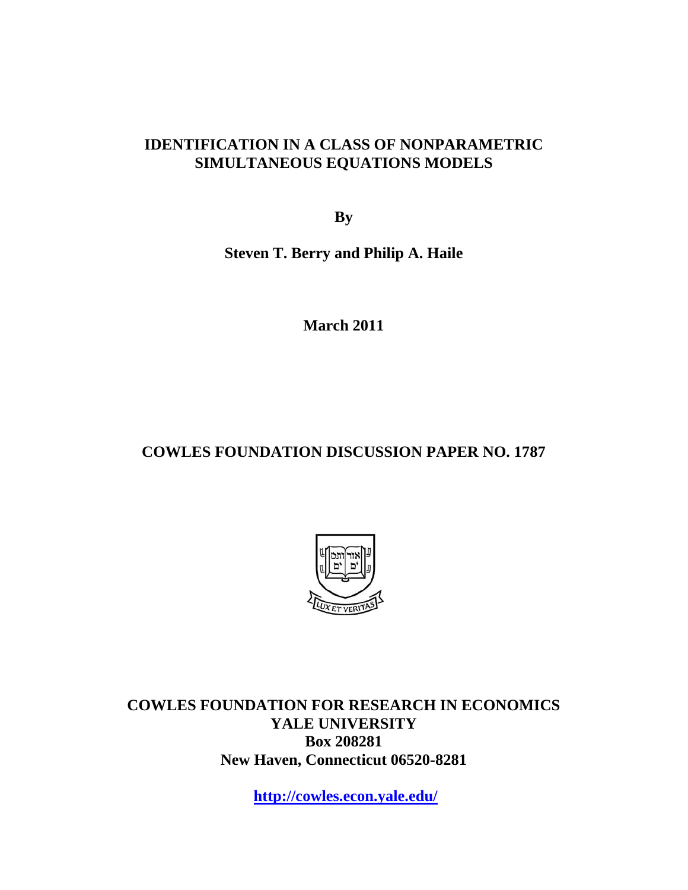### **IDENTIFICATION IN A CLASS OF NONPARAMETRIC SIMULTANEOUS EQUATIONS MODELS**

**By** 

**Steven T. Berry and Philip A. Haile** 

**March 2011** 

# **COWLES FOUNDATION DISCUSSION PAPER NO. 1787**



**COWLES FOUNDATION FOR RESEARCH IN ECONOMICS YALE UNIVERSITY Box 208281 New Haven, Connecticut 06520-8281** 

**http://cowles.econ.yale.edu/**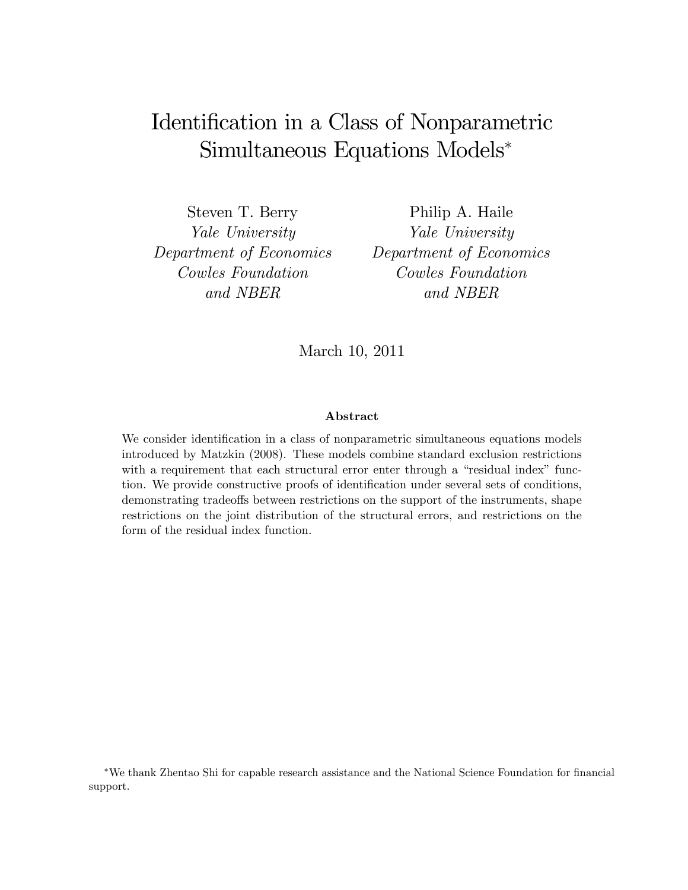# Identification in a Class of Nonparametric Simultaneous Equations Models

Steven T. Berry Yale University Department of Economics Cowles Foundation and NBER

Philip A. Haile Yale University Department of Economics Cowles Foundation and NBER

March 10, 2011

#### Abstract

We consider identification in a class of nonparametric simultaneous equations models introduced by Matzkin (2008). These models combine standard exclusion restrictions with a requirement that each structural error enter through a "residual index" function. We provide constructive proofs of identification under several sets of conditions, demonstrating tradeoffs between restrictions on the support of the instruments, shape restrictions on the joint distribution of the structural errors, and restrictions on the form of the residual index function.

\*We thank Zhentao Shi for capable research assistance and the National Science Foundation for financial support.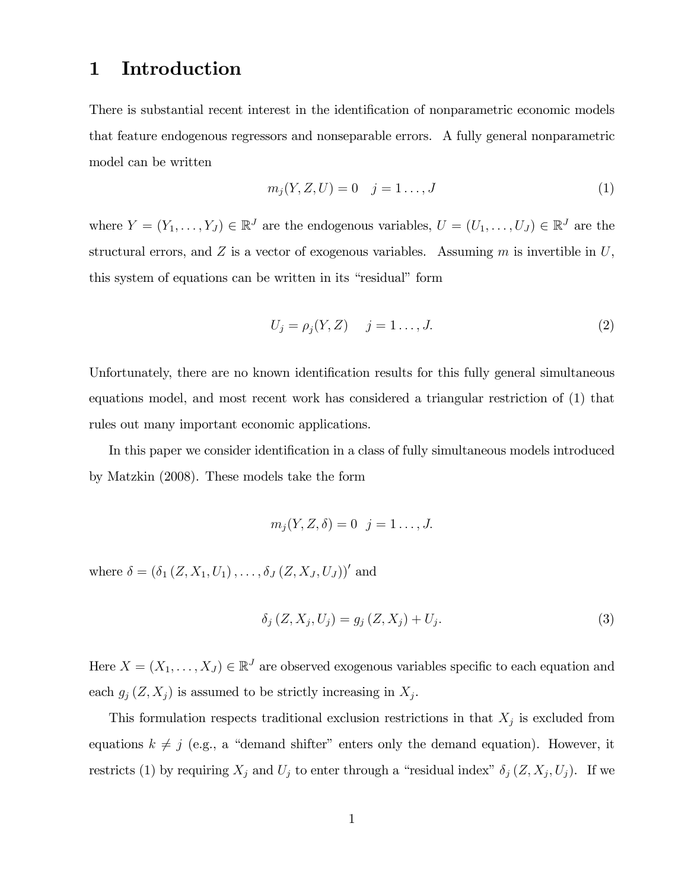## 1 Introduction

There is substantial recent interest in the identification of nonparametric economic models that feature endogenous regressors and nonseparable errors. A fully general nonparametric model can be written

$$
m_j(Y, Z, U) = 0 \t j = 1..., J \t(1)
$$

where  $Y = (Y_1, \ldots, Y_J) \in \mathbb{R}^J$  are the endogenous variables,  $U = (U_1, \ldots, U_J) \in \mathbb{R}^J$  are the structural errors, and  $Z$  is a vector of exogenous variables. Assuming  $m$  is invertible in  $U$ , this system of equations can be written in its "residual" form

$$
U_j = \rho_j(Y, Z) \quad j = 1 \dots, J. \tag{2}
$$

Unfortunately, there are no known identification results for this fully general simultaneous equations model, and most recent work has considered a triangular restriction of (1) that rules out many important economic applications.

In this paper we consider identification in a class of fully simultaneous models introduced by Matzkin (2008). These models take the form

$$
m_j(Y, Z, \delta) = 0 \quad j = 1 \dots, J.
$$

where  $\delta = (\delta_1 (Z, X_1, U_1), \ldots, \delta_J (Z, X_J, U_J))'$  and

$$
\delta_j(Z, X_j, U_j) = g_j(Z, X_j) + U_j. \tag{3}
$$

Here  $X = (X_1, \ldots, X_J) \in \mathbb{R}^J$  are observed exogenous variables specific to each equation and each  $g_j(Z, X_j)$  is assumed to be strictly increasing in  $X_j$ .

This formulation respects traditional exclusion restrictions in that  $X_j$  is excluded from equations  $k \neq j$  (e.g., a "demand shifter" enters only the demand equation). However, it restricts (1) by requiring  $X_j$  and  $U_j$  to enter through a "residual index"  $\delta_j (Z, X_j, U_j)$ . If we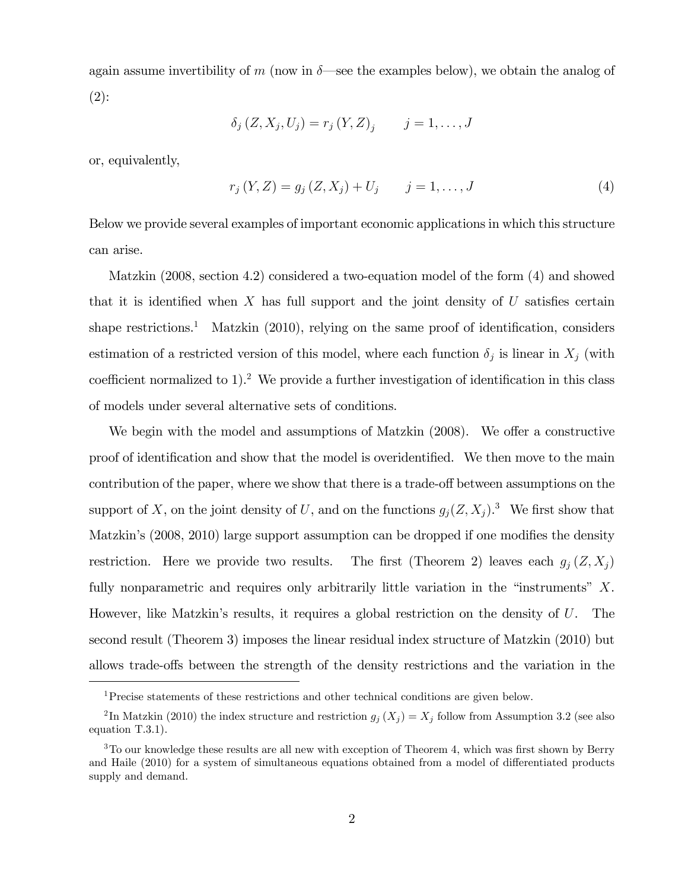again assume invertibility of m (now in  $\delta$ —see the examples below), we obtain the analog of  $(2)$ :

$$
\delta_j(Z, X_j, U_j) = r_j(Y, Z)_j
$$
  $j = 1, ..., J$ 

or, equivalently,

$$
r_j(Y, Z) = g_j(Z, X_j) + U_j \qquad j = 1, ..., J
$$
\n(4)

Below we provide several examples of important economic applications in which this structure can arise.

Matzkin (2008, section 4.2) considered a two-equation model of the form (4) and showed that it is identified when X has full support and the joint density of U satisfies certain shape restrictions.<sup>1</sup> Matzkin  $(2010)$ , relying on the same proof of identification, considers estimation of a restricted version of this model, where each function  $\delta_j$  is linear in  $X_j$  (with coefficient normalized to  $1$ ).<sup>2</sup> We provide a further investigation of identification in this class of models under several alternative sets of conditions.

We begin with the model and assumptions of Matzkin  $(2008)$ . We offer a constructive proof of identification and show that the model is overidentified. We then move to the main contribution of the paper, where we show that there is a trade-off between assumptions on the support of X, on the joint density of U, and on the functions  $g_j(Z, X_j)$ .<sup>3</sup> We first show that Matzkin's (2008, 2010) large support assumption can be dropped if one modifies the density restriction. Here we provide two results. The first (Theorem 2) leaves each  $g_i(Z, X_j)$ fully nonparametric and requires only arbitrarily little variation in the "instruments"  $X$ . However, like Matzkin's results, it requires a global restriction on the density of  $U$ . The second result (Theorem 3) imposes the linear residual index structure of Matzkin (2010) but allows trade-offs between the strength of the density restrictions and the variation in the

<sup>1</sup>Precise statements of these restrictions and other technical conditions are given below.

<sup>&</sup>lt;sup>2</sup>In Matzkin (2010) the index structure and restriction  $g_j(X_j) = X_j$  follow from Assumption 3.2 (see also equation T.3.1).

 $3$ To our knowledge these results are all new with exception of Theorem 4, which was first shown by Berry and Haile (2010) for a system of simultaneous equations obtained from a model of differentiated products supply and demand.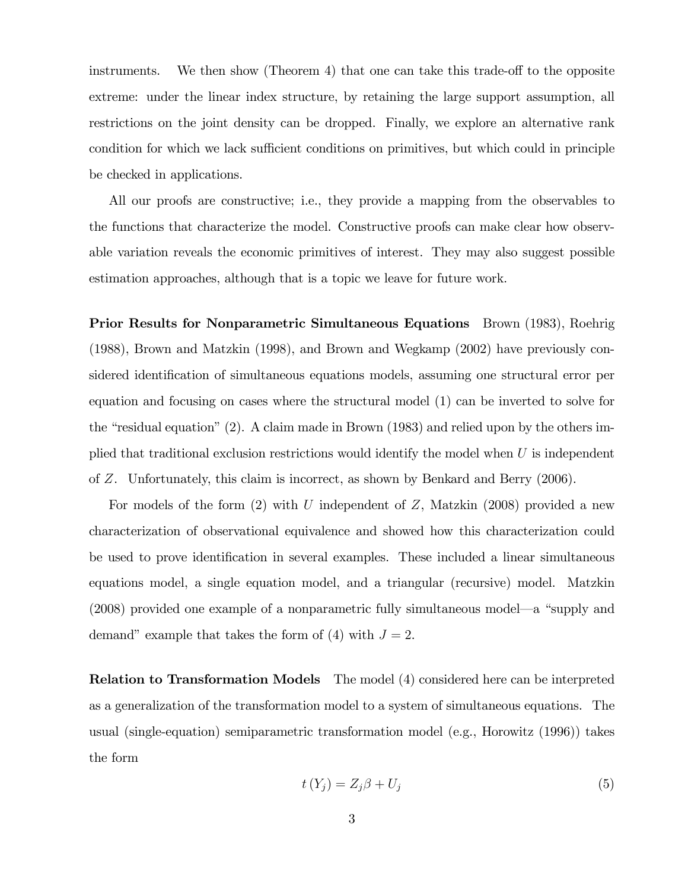instruments. We then show (Theorem 4) that one can take this trade-off to the opposite extreme: under the linear index structure, by retaining the large support assumption, all restrictions on the joint density can be dropped. Finally, we explore an alternative rank condition for which we lack sufficient conditions on primitives, but which could in principle be checked in applications.

All our proofs are constructive; i.e., they provide a mapping from the observables to the functions that characterize the model. Constructive proofs can make clear how observable variation reveals the economic primitives of interest. They may also suggest possible estimation approaches, although that is a topic we leave for future work.

Prior Results for Nonparametric Simultaneous Equations Brown (1983), Roehrig (1988), Brown and Matzkin (1998), and Brown and Wegkamp (2002) have previously considered identification of simultaneous equations models, assuming one structural error per equation and focusing on cases where the structural model (1) can be inverted to solve for the "residual equation" (2). A claim made in Brown (1983) and relied upon by the others implied that traditional exclusion restrictions would identify the model when  $U$  is independent of Z. Unfortunately, this claim is incorrect, as shown by Benkard and Berry (2006).

For models of the form  $(2)$  with U independent of Z, Matzkin  $(2008)$  provided a new characterization of observational equivalence and showed how this characterization could be used to prove identification in several examples. These included a linear simultaneous equations model, a single equation model, and a triangular (recursive) model. Matzkin  $(2008)$  provided one example of a nonparametric fully simultaneous model—a "supply and demand" example that takes the form of (4) with  $J = 2$ .

Relation to Transformation Models The model (4) considered here can be interpreted as a generalization of the transformation model to a system of simultaneous equations. The usual (single-equation) semiparametric transformation model (e.g., Horowitz (1996)) takes the form

$$
t(Y_j) = Z_j \beta + U_j \tag{5}
$$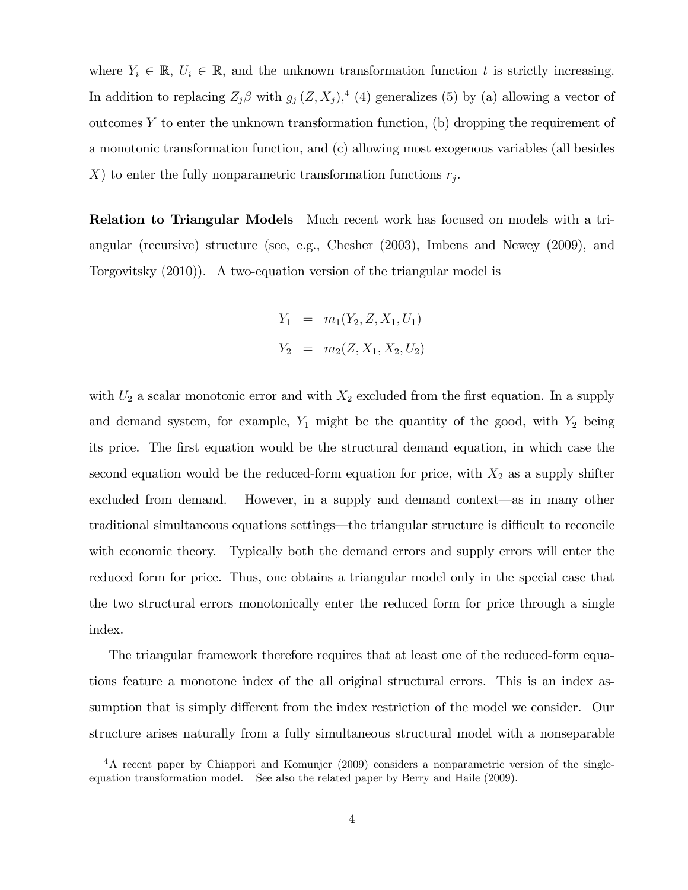where  $Y_i \in \mathbb{R}, U_i \in \mathbb{R}$ , and the unknown transformation function t is strictly increasing. In addition to replacing  $Z_j \beta$  with  $g_j(Z, X_j)$ ,<sup>4</sup> (4) generalizes (5) by (a) allowing a vector of outcomes Y to enter the unknown transformation function, (b) dropping the requirement of a monotonic transformation function, and (c) allowing most exogenous variables (all besides X) to enter the fully nonparametric transformation functions  $r_j$ .

Relation to Triangular Models Much recent work has focused on models with a triangular (recursive) structure (see, e.g., Chesher (2003), Imbens and Newey (2009), and Torgovitsky (2010)). A two-equation version of the triangular model is

$$
Y_1 = m_1(Y_2, Z, X_1, U_1)
$$
  

$$
Y_2 = m_2(Z, X_1, X_2, U_2)
$$

with  $U_2$  a scalar monotonic error and with  $X_2$  excluded from the first equation. In a supply and demand system, for example,  $Y_1$  might be the quantity of the good, with  $Y_2$  being its price. The Örst equation would be the structural demand equation, in which case the second equation would be the reduced-form equation for price, with  $X_2$  as a supply shifter excluded from demand. However, in a supply and demand context-as in many other traditional simultaneous equations settings—the triangular structure is difficult to reconcile with economic theory. Typically both the demand errors and supply errors will enter the reduced form for price. Thus, one obtains a triangular model only in the special case that the two structural errors monotonically enter the reduced form for price through a single index.

The triangular framework therefore requires that at least one of the reduced-form equations feature a monotone index of the all original structural errors. This is an index assumption that is simply different from the index restriction of the model we consider. Our structure arises naturally from a fully simultaneous structural model with a nonseparable

<sup>4</sup>A recent paper by Chiappori and Komunjer (2009) considers a nonparametric version of the singleequation transformation model. See also the related paper by Berry and Haile (2009).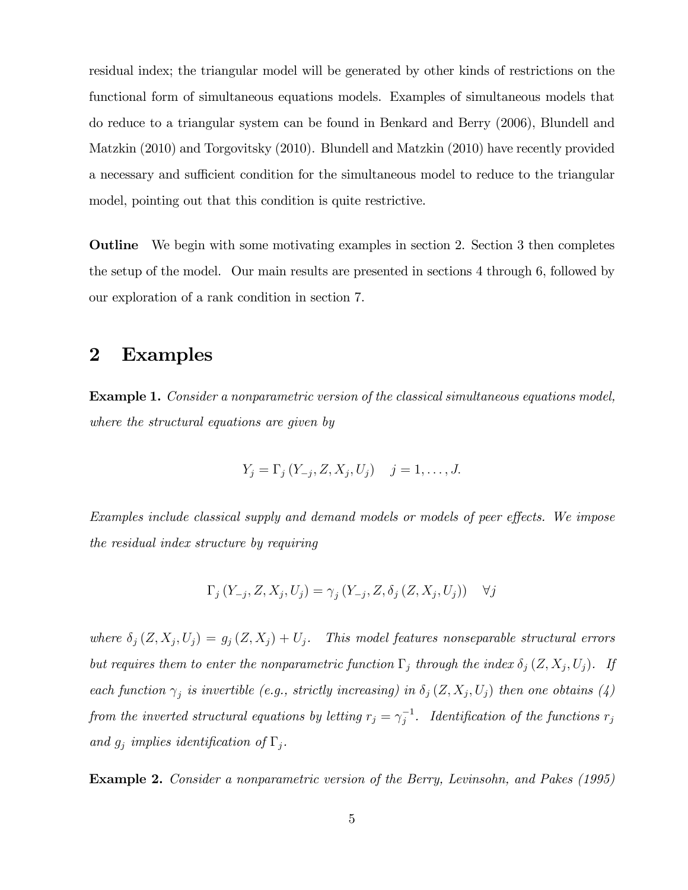residual index; the triangular model will be generated by other kinds of restrictions on the functional form of simultaneous equations models. Examples of simultaneous models that do reduce to a triangular system can be found in Benkard and Berry (2006), Blundell and Matzkin (2010) and Torgovitsky (2010). Blundell and Matzkin (2010) have recently provided a necessary and sufficient condition for the simultaneous model to reduce to the triangular model, pointing out that this condition is quite restrictive.

Outline We begin with some motivating examples in section 2. Section 3 then completes the setup of the model. Our main results are presented in sections 4 through 6, followed by our exploration of a rank condition in section 7.

### 2 Examples

Example 1. Consider a nonparametric version of the classical simultaneous equations model, where the structural equations are given by

$$
Y_j = \Gamma_j (Y_{-j}, Z, X_j, U_j) \quad j = 1, ..., J.
$$

Examples include classical supply and demand models or models of peer effects. We impose the residual index structure by requiring

$$
\Gamma_j(Y_{-j}, Z, X_j, U_j) = \gamma_j(Y_{-j}, Z, \delta_j(Z, X_j, U_j)) \quad \forall j
$$

where  $\delta_j(Z, X_j, U_j) = g_j(Z, X_j) + U_j$ . This model features nonseparable structural errors but requires them to enter the nonparametric function  $\Gamma_j$  through the index  $\delta_j (Z, X_j, U_j)$ . If each function  $\gamma_j$  is invertible (e.g., strictly increasing) in  $\delta_j(Z, X_j, U_j)$  then one obtains (4) from the inverted structural equations by letting  $r_j = \gamma_j^{-1}$ . Identification of the functions  $r_j$ and  $g_j$  implies identification of  $\Gamma_j$ .

Example 2. Consider a nonparametric version of the Berry, Levinsohn, and Pakes (1995)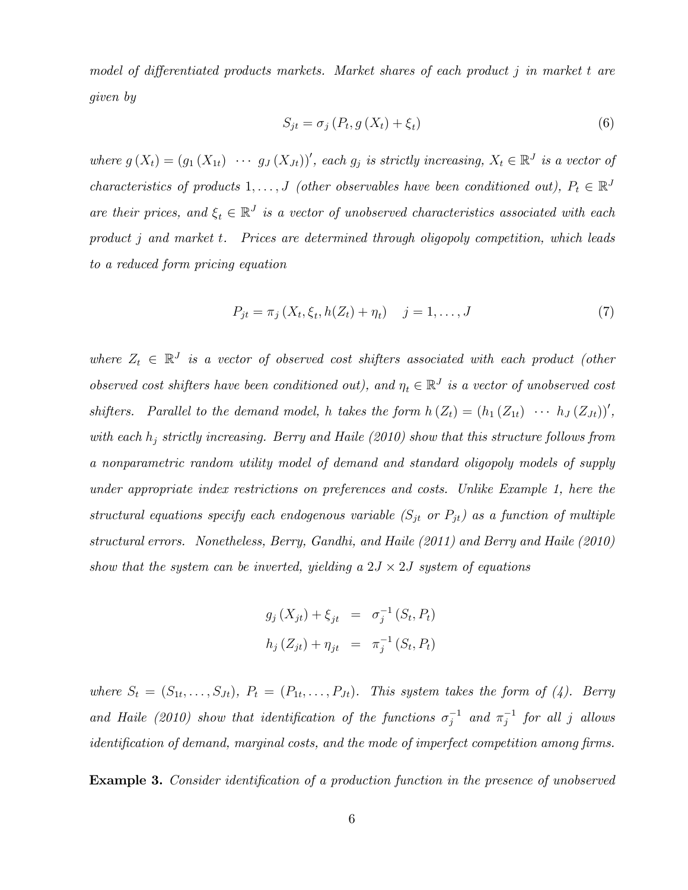model of differentiated products markets. Market shares of each product  $j$  in market  $t$  are given by

$$
S_{jt} = \sigma_j \left( P_t, g \left( X_t \right) + \xi_t \right) \tag{6}
$$

where  $g(X_t) = (g_1(X_{1t}) \cdots g_J(X_{Jt}))'$ , each  $g_j$  is strictly increasing,  $X_t \in \mathbb{R}^J$  is a vector of characteristics of products  $1, \ldots, J$  (other observables have been conditioned out),  $P_t \in \mathbb{R}^J$ are their prices, and  $\xi_t \in \mathbb{R}^J$  is a vector of unobserved characteristics associated with each product j and market t. Prices are determined through oligopoly competition, which leads to a reduced form pricing equation

$$
P_{jt} = \pi_j (X_t, \xi_t, h(Z_t) + \eta_t) \quad j = 1, ..., J
$$
\n(7)

where  $Z_t \in \mathbb{R}^J$  is a vector of observed cost shifters associated with each product (other observed cost shifters have been conditioned out), and  $\eta_t \in \mathbb{R}^J$  is a vector of unobserved cost shifters. Parallel to the demand model, h takes the form  $h(Z_t) = (h_1(Z_{1t}) \cdots h_J(Z_{Jt}))'$ , with each  $h_j$  strictly increasing. Berry and Haile (2010) show that this structure follows from a nonparametric random utility model of demand and standard oligopoly models of supply under appropriate index restrictions on preferences and costs. Unlike Example 1, here the structural equations specify each endogenous variable  $(S_{jt}$  or  $P_{jt}$ ) as a function of multiple structural errors. Nonetheless, Berry, Gandhi, and Haile (2011) and Berry and Haile (2010) show that the system can be inverted, yielding a  $2J \times 2J$  system of equations

$$
g_j(X_{jt}) + \xi_{jt} = \sigma_j^{-1}(S_t, P_t)
$$
  

$$
h_j(Z_{jt}) + \eta_{jt} = \pi_j^{-1}(S_t, P_t)
$$

where  $S_t = (S_{1t}, \ldots, S_{Jt}), P_t = (P_{1t}, \ldots, P_{Jt}).$  This system takes the form of (4). Berry and Haile (2010) show that identification of the functions  $\sigma_j^{-1}$  and  $\pi_j^{-1}$  for all j allows  $i$ dentification of demand, marginal costs, and the mode of imperfect competition among firms.

**Example 3.** Consider identification of a production function in the presence of unobserved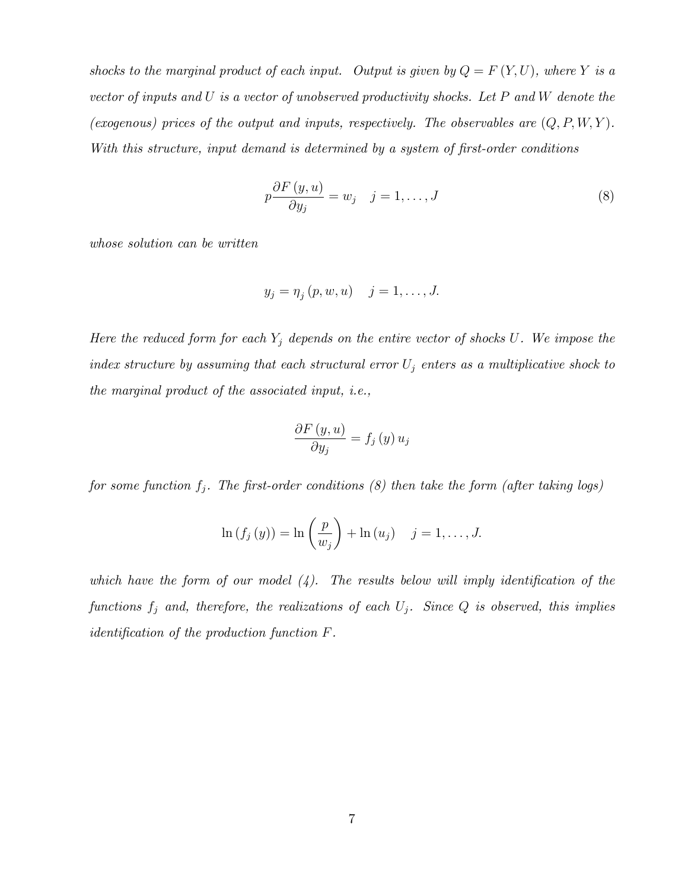shocks to the marginal product of each input. Output is given by  $Q = F(Y, U)$ , where Y is a vector of inputs and U is a vector of unobserved productivity shocks. Let P and W denote the (exogenous) prices of the output and inputs, respectively. The observables are  $(Q, P, W, Y)$ . With this structure, input demand is determined by a system of first-order conditions

$$
p\frac{\partial F\left(y, u\right)}{\partial y_{j}} = w_{j} \quad j = 1, \dots, J \tag{8}
$$

whose solution can be written

$$
y_j = \eta_j(p, w, u) \quad j = 1, \dots, J.
$$

Here the reduced form for each  $Y_j$  depends on the entire vector of shocks U. We impose the index structure by assuming that each structural error  $U_j$  enters as a multiplicative shock to the marginal product of the associated input, i.e.,

$$
\frac{\partial F\left(y, u\right)}{\partial y_j} = f_j\left(y\right) u_j
$$

for some function  $f_j$ . The first-order conditions (8) then take the form (after taking logs)

$$
\ln(f_j(y)) = \ln\left(\frac{p}{w_j}\right) + \ln(u_j) \quad j = 1, \dots, J.
$$

which have the form of our model  $(4)$ . The results below will imply identification of the functions  $f_j$  and, therefore, the realizations of each  $U_j$ . Since  $Q$  is observed, this implies *identification of the production function*  $F$ .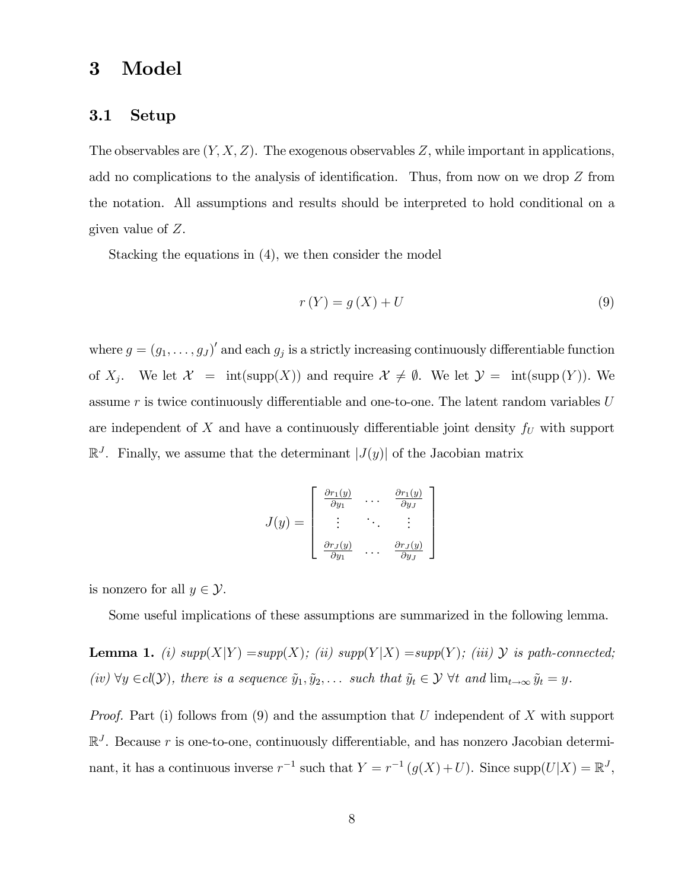### 3 Model

#### 3.1 Setup

The observables are  $(Y, X, Z)$ . The exogenous observables Z, while important in applications, add no complications to the analysis of identification. Thus, from now on we drop  $Z$  from the notation. All assumptions and results should be interpreted to hold conditional on a given value of Z.

Stacking the equations in (4), we then consider the model

$$
r(Y) = g(X) + U \tag{9}
$$

where  $g = (g_1, \ldots, g_J)'$  and each  $g_j$  is a strictly increasing continuously differentiable function of  $X_j$ . We let  $\mathcal{X} = \text{int}(\text{supp}(X))$  and require  $\mathcal{X} \neq \emptyset$ . We let  $\mathcal{Y} = \text{int}(\text{supp}(Y))$ . We assume  $r$  is twice continuously differentiable and one-to-one. The latent random variables  $U$ are independent of  $X$  and have a continuously differentiable joint density  $f_U$  with support  $\mathbb{R}^{J}$ . Finally, we assume that the determinant  $|J(y)|$  of the Jacobian matrix

$$
J(y) = \begin{bmatrix} \frac{\partial r_1(y)}{\partial y_1} & \cdots & \frac{\partial r_1(y)}{\partial y_J} \\ \vdots & \ddots & \vdots \\ \frac{\partial r_J(y)}{\partial y_1} & \cdots & \frac{\partial r_J(y)}{\partial y_J} \end{bmatrix}
$$

is nonzero for all  $y \in \mathcal{Y}$ .

Some useful implications of these assumptions are summarized in the following lemma.

**Lemma 1.** (i)  $supp(X|Y) = supp(X)$ ; (ii)  $supp(Y|X) = supp(Y)$ ; (iii)  $Y$  is path-connected; (iv)  $\forall y \in cl(\mathcal{Y})$ , there is a sequence  $\tilde{y}_1, \tilde{y}_2, \ldots$  such that  $\tilde{y}_t \in \mathcal{Y}$   $\forall t$  and  $\lim_{t \to \infty} \tilde{y}_t = y$ .

*Proof.* Part (i) follows from (9) and the assumption that U independent of X with support  $\mathbb{R}^{J}$ . Because r is one-to-one, continuously differentiable, and has nonzero Jacobian determinant, it has a continuous inverse  $r^{-1}$  such that  $Y = r^{-1}(g(X) + U)$ . Since  $\text{supp}(U|X) = \mathbb{R}^J$ ,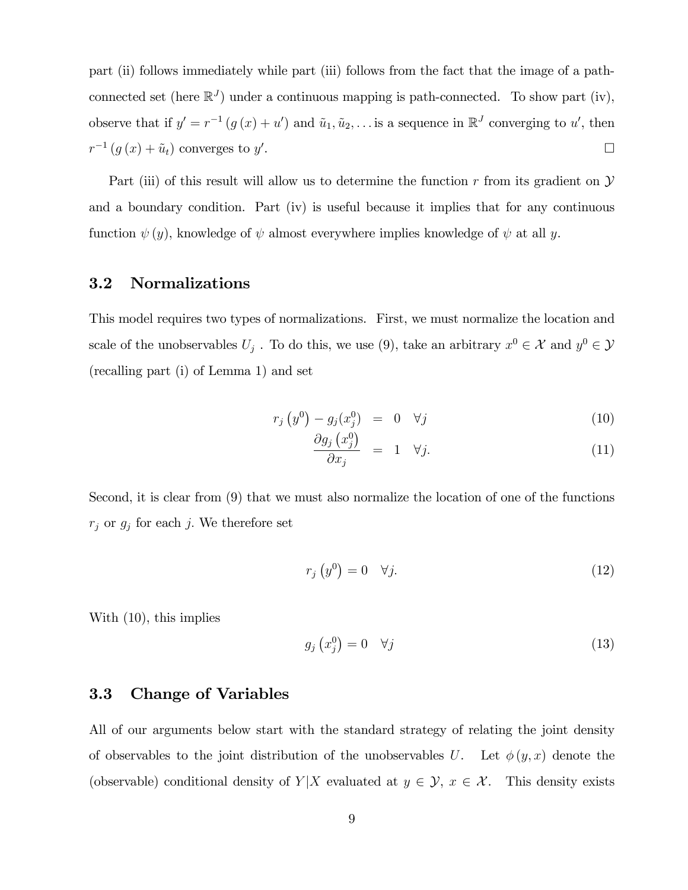part (ii) follows immediately while part (iii) follows from the fact that the image of a pathconnected set (here  $\mathbb{R}^{J}$ ) under a continuous mapping is path-connected. To show part (iv), observe that if  $y' = r^{-1}(g(x) + u')$  and  $\tilde{u}_1, \tilde{u}_2, \ldots$  is a sequence in  $\mathbb{R}^J$  converging to u', then  $r^{-1}(g(x) + \tilde{u}_t)$  converges to  $y'$ .

Part (iii) of this result will allow us to determine the function r from its gradient on  $\mathcal Y$ and a boundary condition. Part (iv) is useful because it implies that for any continuous function  $\psi(y)$ , knowledge of  $\psi$  almost everywhere implies knowledge of  $\psi$  at all y.

#### 3.2 Normalizations

This model requires two types of normalizations. First, we must normalize the location and scale of the unobservables  $U_j$ . To do this, we use (9), take an arbitrary  $x^0 \in \mathcal{X}$  and  $y^0 \in \mathcal{Y}$ (recalling part (i) of Lemma 1) and set

$$
r_j\left(y^0\right) - g_j\left(x_j^0\right) = 0 \quad \forall j \tag{10}
$$

$$
\frac{\partial g_j\left(x_j^0\right)}{\partial x_j} = 1 \quad \forall j. \tag{11}
$$

Second, it is clear from (9) that we must also normalize the location of one of the functions  $r_j$  or  $g_j$  for each j. We therefore set

$$
r_j\left(y^0\right) = 0 \quad \forall j. \tag{12}
$$

With (10), this implies

$$
g_j\left(x_j^0\right) = 0 \quad \forall j \tag{13}
$$

#### 3.3 Change of Variables

All of our arguments below start with the standard strategy of relating the joint density of observables to the joint distribution of the unobservables U. Let  $\phi(y, x)$  denote the (observable) conditional density of  $Y|X$  evaluated at  $y \in \mathcal{Y}$ ,  $x \in \mathcal{X}$ . This density exists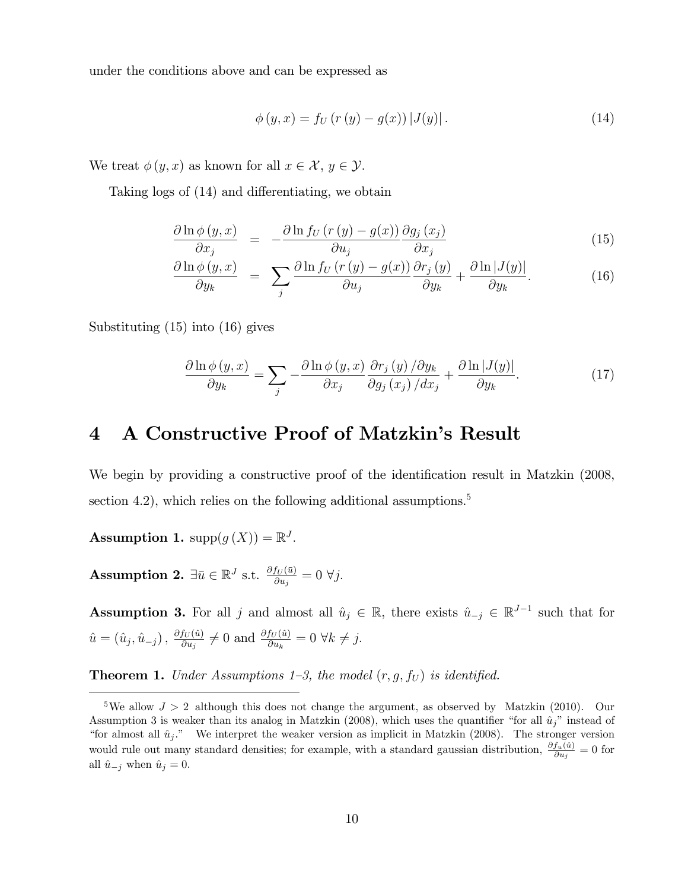under the conditions above and can be expressed as

$$
\phi(y, x) = f_U(r(y) - g(x)) |J(y)|.
$$
 (14)

We treat  $\phi(y, x)$  as known for all  $x \in \mathcal{X}, y \in \mathcal{Y}$ .

Taking logs of  $(14)$  and differentiating, we obtain

$$
\frac{\partial \ln \phi(y, x)}{\partial x_j} = -\frac{\partial \ln f_U(r(y) - g(x))}{\partial u_j} \frac{\partial g_j(x_j)}{\partial x_j}
$$
(15)

$$
\frac{\partial \ln \phi(y, x)}{\partial y_k} = \sum_j \frac{\partial \ln f_U(r(y) - g(x))}{\partial u_j} \frac{\partial r_j(y)}{\partial y_k} + \frac{\partial \ln |J(y)|}{\partial y_k}.
$$
(16)

Substituting (15) into (16) gives

$$
\frac{\partial \ln \phi(y, x)}{\partial y_k} = \sum_j -\frac{\partial \ln \phi(y, x)}{\partial x_j} \frac{\partial r_j(y)}{\partial g_j(x_j)} / \frac{\partial y_k}{\partial x_j} + \frac{\partial \ln |J(y)|}{\partial y_k}.
$$
(17)

# 4 A Constructive Proof of Matzkin's Result

We begin by providing a constructive proof of the identification result in Matzkin (2008, section 4.2), which relies on the following additional assumptions.<sup>5</sup>

**Assumption 1.** supp $(g(X)) = \mathbb{R}^{J}$ .

 $\textbf{Assumption 2.} \; \exists \bar{u} \in \mathbb{R}^{J} \; \text{s.t.} \; \frac{\partial f_{U}(\bar{u})}{\partial u_{j}} = 0 \; \forall j.$ 

**Assumption 3.** For all j and almost all  $\hat{u}_j \in \mathbb{R}$ , there exists  $\hat{u}_{-j} \in \mathbb{R}^{J-1}$  such that for  $\hat{u} = \left(\hat{u}_{j}, \hat{u}_{-j}\right), \, \frac{\partial f_{U}(\hat{u})}{\partial u_{j}}$  $\frac{f_U(\hat{u})}{\partial u_j} \neq 0$  and  $\frac{\partial f_U(\hat{u})}{\partial u_k} = 0 \ \forall k \neq j$ .

**Theorem 1.** Under Assumptions 1-3, the model  $(r, g, f_U)$  is identified.

<sup>&</sup>lt;sup>5</sup>We allow  $J > 2$  although this does not change the argument, as observed by Matzkin (2010). Our Assumption 3 is weaker than its analog in Matzkin (2008), which uses the quantifier "for all  $\hat{u}_i$ " instead of "for almost all  $\hat{u}_j$ ." We interpret the weaker version as implicit in Matzkin (2008). The stronger version would rule out many standard densities; for example, with a standard gaussian distribution,  $\frac{\partial f_u(\hat{u})}{\partial u_j} = 0$  for all  $\hat{u}_{-j}$  when  $\hat{u}_j = 0$ .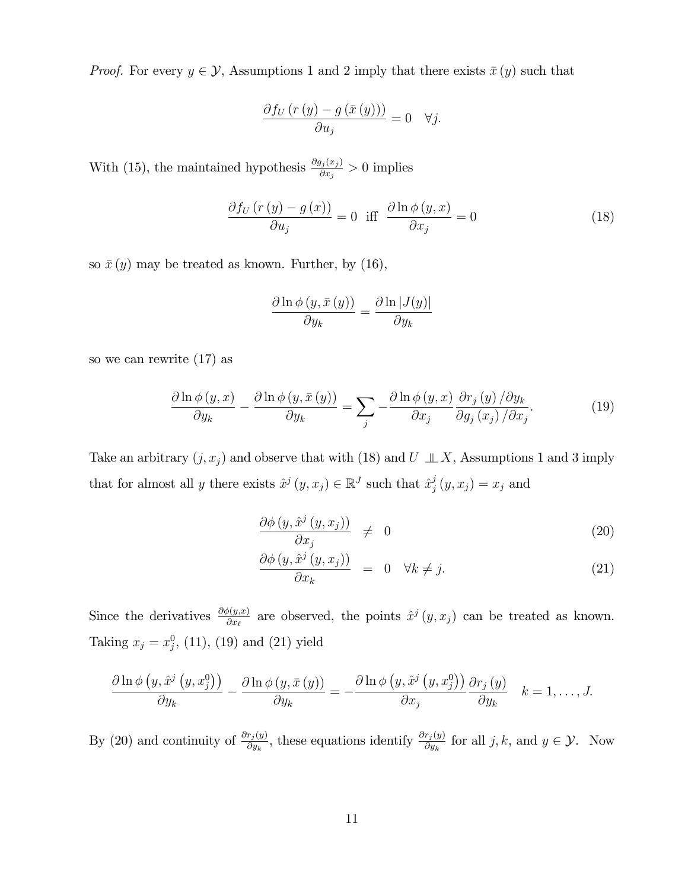*Proof.* For every  $y \in \mathcal{Y}$ , Assumptions 1 and 2 imply that there exists  $\bar{x}(y)$  such that

$$
\frac{\partial f_{U}\left(r\left(y\right)-g\left(\bar{x}\left(y\right)\right)\right)}{\partial u_{j}}=0 \quad \forall j.
$$

With (15), the maintained hypothesis  $\frac{\partial g_j(x_j)}{\partial x_j} > 0$  implies

$$
\frac{\partial f_U(r(y) - g(x))}{\partial u_j} = 0 \quad \text{iff} \quad \frac{\partial \ln \phi(y, x)}{\partial x_j} = 0 \tag{18}
$$

so  $\bar{x}(y)$  may be treated as known. Further, by (16),

$$
\frac{\partial \ln \phi(y, \bar{x}(y))}{\partial y_k} = \frac{\partial \ln |J(y)|}{\partial y_k}
$$

so we can rewrite (17) as

$$
\frac{\partial \ln \phi(y, x)}{\partial y_k} - \frac{\partial \ln \phi(y, \bar{x}(y))}{\partial y_k} = \sum_j -\frac{\partial \ln \phi(y, x)}{\partial x_j} \frac{\partial r_j(y)}{\partial g_j(x_j) / \partial x_j}.
$$
(19)

Take an arbitrary  $(j, x_j)$  and observe that with (18) and U  $\perp \perp X$ , Assumptions 1 and 3 imply that for almost all y there exists  $\hat{x}^j(y, x_j) \in \mathbb{R}^J$  such that  $\hat{x}^j_j$  $j_{j}(y, x_{j}) = x_{j}$  and

$$
\frac{\partial \phi(y, \hat{x}^j(y, x_j))}{\partial x_j} \neq 0 \tag{20}
$$

$$
\frac{\partial \phi(y, \hat{x}^j(y, x_j))}{\partial x_k} = 0 \quad \forall k \neq j. \tag{21}
$$

Since the derivatives  $\frac{\partial \phi(y,x)}{\partial x_\ell}$  are observed, the points  $\hat{x}^j(y, x_j)$  can be treated as known. Taking  $x_j = x_j^0$ , (11), (19) and (21) yield

$$
\frac{\partial \ln \phi \left(y, \hat{x}^{j} \left(y, x_{j}^{0}\right)\right)}{\partial y_{k}} - \frac{\partial \ln \phi \left(y, \bar{x} \left(y\right)\right)}{\partial y_{k}} = -\frac{\partial \ln \phi \left(y, \hat{x}^{j} \left(y, x_{j}^{0}\right)\right)}{\partial x_{j}} \frac{\partial r_{j} \left(y\right)}{\partial y_{k}} \quad k = 1, \ldots, J.
$$

By (20) and continuity of  $\frac{\partial r_j(y)}{\partial y_k}$ , these equations identify  $\frac{\partial r_j(y)}{\partial y_k}$  for all j, k, and  $y \in \mathcal{Y}$ . Now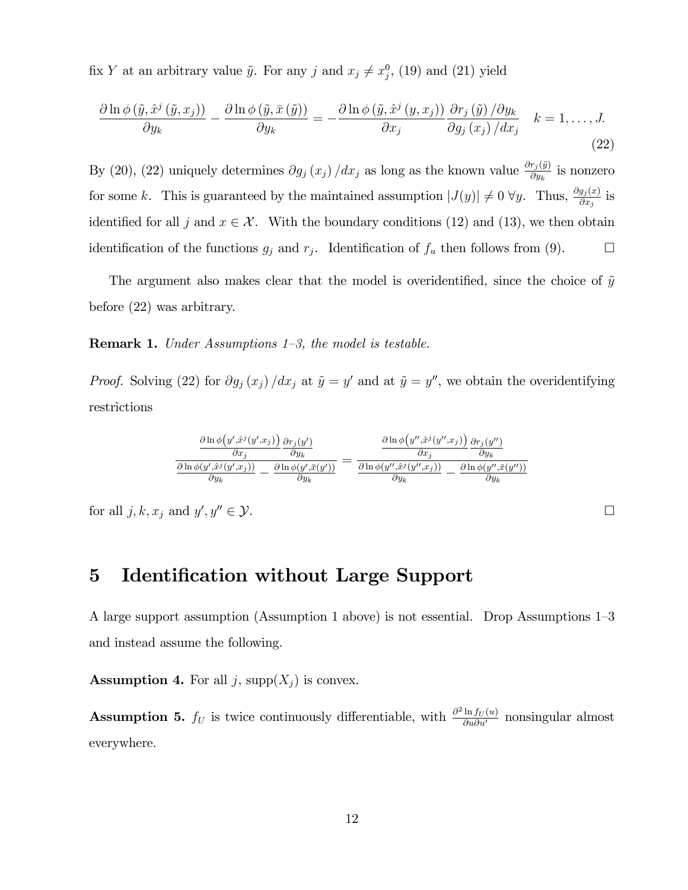fix Y at an arbitrary value  $\tilde{y}$ . For any j and  $x_j \neq x_j^0$ , (19) and (21) yield

$$
\frac{\partial \ln \phi\left(\tilde{y}, \hat{x}^{j}\left(\tilde{y}, x_{j}\right)\right)}{\partial y_{k}} - \frac{\partial \ln \phi\left(\tilde{y}, \bar{x}\left(\tilde{y}\right)\right)}{\partial y_{k}} = -\frac{\partial \ln \phi\left(\tilde{y}, \hat{x}^{j}\left(y, x_{j}\right)\right)}{\partial x_{j}} \frac{\partial r_{j}\left(\tilde{y}\right) / \partial y_{k}}{\partial g_{j}\left(x_{j}\right) / dx_{j}} \quad k = 1, \dots, J. \tag{22}
$$

By (20), (22) uniquely determines  $\partial g_j(x_j) / dx_j$  as long as the known value  $\frac{\partial r_j(\tilde{y})}{\partial y_k}$  is nonzero for some k. This is guaranteed by the maintained assumption  $|J(y)| \neq 0$   $\forall y$ . Thus,  $\frac{\partial g_j(x)}{\partial x_j}$  is identified for all j and  $x \in \mathcal{X}$ . With the boundary conditions (12) and (13), we then obtain identification of the functions  $g_j$  and  $r_j$ . Identification of  $f_u$  then follows from (9).

The argument also makes clear that the model is overidentified, since the choice of  $\tilde{y}$ before (22) was arbitrary.

**Remark 1.** Under Assumptions  $1-3$ , the model is testable.

*Proof.* Solving (22) for  $\partial g_j(x_j)/dx_j$  at  $\tilde{y} = y'$  and at  $\tilde{y} = y''$ , we obtain the overidentifying restrictions

$$
\frac{\frac{\partial \ln \phi(y',\hat{x}^j(y',x_j))}{\partial x_j} \frac{\partial r_j(y')}{\partial y_k}}{\frac{\partial \ln \phi(y',\hat{x}^j(y',x_j))}{\partial y_k} - \frac{\partial \ln \phi(y',\bar{x}^j(y'')}{\partial y_k}} = \frac{\frac{\partial \ln \phi(y'',\hat{x}^j(y'',x_j))}{\partial x_j} \frac{\partial r_j(y'')}{\partial y_k}}{\frac{\partial \ln \phi(y'',\hat{x}^j(y'',x_j))}{\partial y_k} - \frac{\partial \ln \phi(y'',\bar{x}^j(y''))}{\partial y_k}}
$$

for all  $j, k, x_j$  and  $y'$  $; y'' \in \mathcal{Y}.$ 

## 5 Identification without Large Support

A large support assumption (Assumption 1 above) is not essential. Drop Assumptions  $1-3$ and instead assume the following.

**Assumption 4.** For all j,  $supp(X_j)$  is convex.

**Assumption 5.**  $f_U$  is twice continuously differentiable, with  $\frac{\partial^2 \ln f_U(u)}{\partial u \partial u'}$  nonsingular almost everywhere: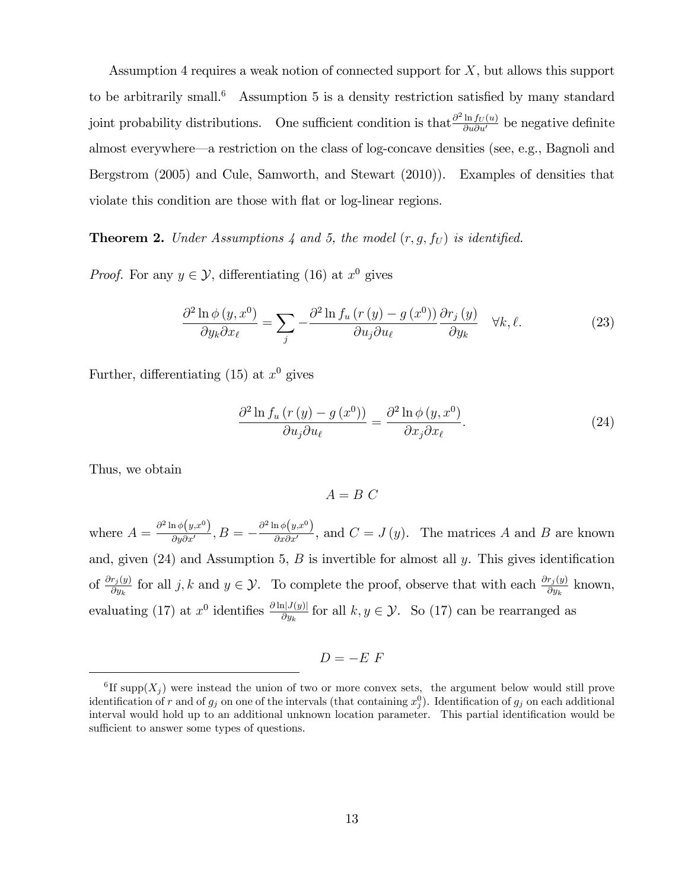Assumption 4 requires a weak notion of connected support for  $X$ , but allows this support to be arbitrarily small.<sup>6</sup> Assumption 5 is a density restriction satisfied by many standard joint probability distributions. One sufficient condition is that  $\frac{\partial^2 \ln f_U(u)}{\partial u \partial u'}$  be negative definite almost everywhere—a restriction on the class of log-concave densities (see, e.g., Bagnoli and Bergstrom (2005) and Cule, Samworth, and Stewart (2010)). Examples of densities that violate this condition are those with flat or log-linear regions.

**Theorem 2.** Under Assumptions 4 and 5, the model  $(r, g, f_U)$  is identified.

*Proof.* For any  $y \in \mathcal{Y}$ , differentiating (16) at  $x^0$  gives

$$
\frac{\partial^2 \ln \phi(y, x^0)}{\partial y_k \partial x_\ell} = \sum_j -\frac{\partial^2 \ln f_u \left( r \left( y \right) - g \left( x^0 \right) \right)}{\partial u_j \partial u_\ell} \frac{\partial r_j \left( y \right)}{\partial y_k} \quad \forall k, \ell. \tag{23}
$$

Further, differentiating (15) at  $x^0$  gives

$$
\frac{\partial^2 \ln f_u \left( r \left( y \right) - g \left( x^0 \right) \right)}{\partial u_j \partial u_\ell} = \frac{\partial^2 \ln \phi \left( y, x^0 \right)}{\partial x_j \partial x_\ell}.
$$
\n(24)

Thus, we obtain

 $A = B C$ 

where  $A = \frac{\partial^2 \ln \phi(y, x^0)}{\partial y \partial x'}$  $\frac{\ln \phi\left(y, x^0 \right)}{\partial y \partial x'} , B = - \frac{\partial^2 \ln \phi\left(y, x^0 \right)}{\partial x \partial x'}$  $\frac{d\mathcal{L}(y,x)}{dx\partial x'}$ , and  $C = J(y)$ . The matrices A and B are known and, given  $(24)$  and Assumption 5, B is invertible for almost all y. This gives identification of  $\frac{\partial r_j(y)}{\partial y_k}$  for all j, k and  $y \in \mathcal{Y}$ . To complete the proof, observe that with each  $\frac{\partial r_j(y)}{\partial y_k}$  known, evaluating (17) at  $x^0$  identifies  $\frac{\partial \ln |J(y)|}{\partial y_k}$  for all  $k, y \in \mathcal{Y}$ . So (17) can be rearranged as

$$
D = -E F
$$

<sup>&</sup>lt;sup>6</sup>If supp $(X_j)$  were instead the union of two or more convex sets, the argument below would still prove identification of r and of  $g_j$  on one of the intervals (that containing  $x_j^0$ ). Identification of  $g_j$  on each additional interval would hold up to an additional unknown location parameter. This partial identification would be sufficient to answer some types of questions.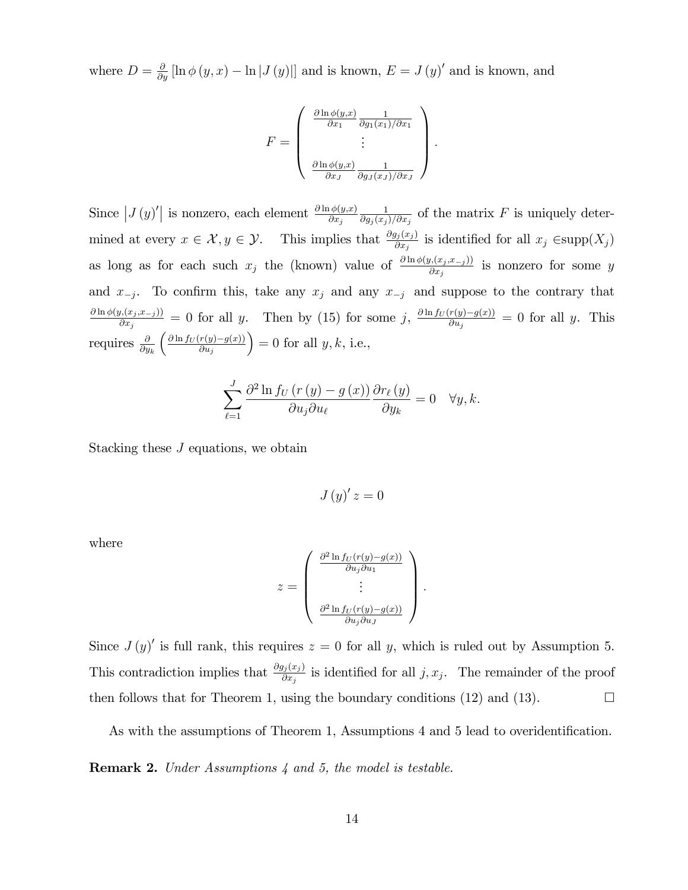where  $D = \frac{\partial}{\partial y} [\ln \phi(y, x) - \ln |J(y)|]$  and is known,  $E = J(y)'$  and is known, and

$$
F = \begin{pmatrix} \frac{\partial \ln \phi(y,x)}{\partial x_1} & \frac{1}{\partial g_1(x_1)/\partial x_1} \\ \vdots & \vdots \\ \frac{\partial \ln \phi(y,x)}{\partial x_J} & \frac{1}{\partial g_J(x_J)/\partial x_J} \end{pmatrix}
$$

:

Since  $|J(y)|$  is nonzero, each element  $\frac{\partial \ln \phi(y,x)}{\partial x_j}$ 1  $\frac{1}{\partial g_j(x_j)/\partial x_j}$  of the matrix F is uniquely determined at every  $x \in \mathcal{X}, y \in \mathcal{Y}$ . This implies that  $\frac{\partial g_j(x_j)}{\partial x_j}$  is identified for all  $x_j \in \text{supp}(X_j)$ as long as for each such  $x_j$  the (known) value of  $\frac{\partial \ln \phi(y,(x_j, x_{-j}))}{\partial x_j}$  is nonzero for some y and  $x_{-j}$ . To confirm this, take any  $x_j$  and any  $x_{-j}$  and suppose to the contrary that  $\frac{\partial \ln \phi(y,(x_j, x_{-j}))}{\partial \phi(y,(x_j, x_{-j}))}$  $\frac{\partial f_{U}(x_j,x_{-j})}{\partial x_j} = 0$  for all y. Then by (15) for some j,  $\frac{\partial \ln f_{U}(r(y)-g(x))}{\partial u_j} = 0$  for all y. This requires  $\frac{\partial}{\partial y_k}$  $\left(\frac{\partial \ln f_{U}(r(y)-g(x))}{\partial u_{j}}\right)$  $= 0$  for all  $y, k$ , i.e.,

$$
\sum_{\ell=1}^{J} \frac{\partial^2 \ln f_U(r(y) - g(x))}{\partial u_j \partial u_\ell} \frac{\partial r_\ell(y)}{\partial y_k} = 0 \quad \forall y, k.
$$

Stacking these J equations, we obtain

$$
J\left(y\right)'z=0
$$

where

$$
z = \begin{pmatrix} \frac{\partial^2 \ln f_U(r(y) - g(x))}{\partial u_j \partial u_1} \\ \vdots \\ \frac{\partial^2 \ln f_U(r(y) - g(x))}{\partial u_j \partial u_j} \end{pmatrix}.
$$

Since  $J(y)'$  is full rank, this requires  $z = 0$  for all y, which is ruled out by Assumption 5. This contradiction implies that  $\frac{\partial g_j(x_j)}{\partial x_j}$  is identified for all j,  $x_j$ . The remainder of the proof then follows that for Theorem 1, using the boundary conditions (12) and (13).  $\Box$ 

As with the assumptions of Theorem 1, Assumptions 4 and 5 lead to overidentification.

Remark 2. Under Assumptions 4 and 5, the model is testable.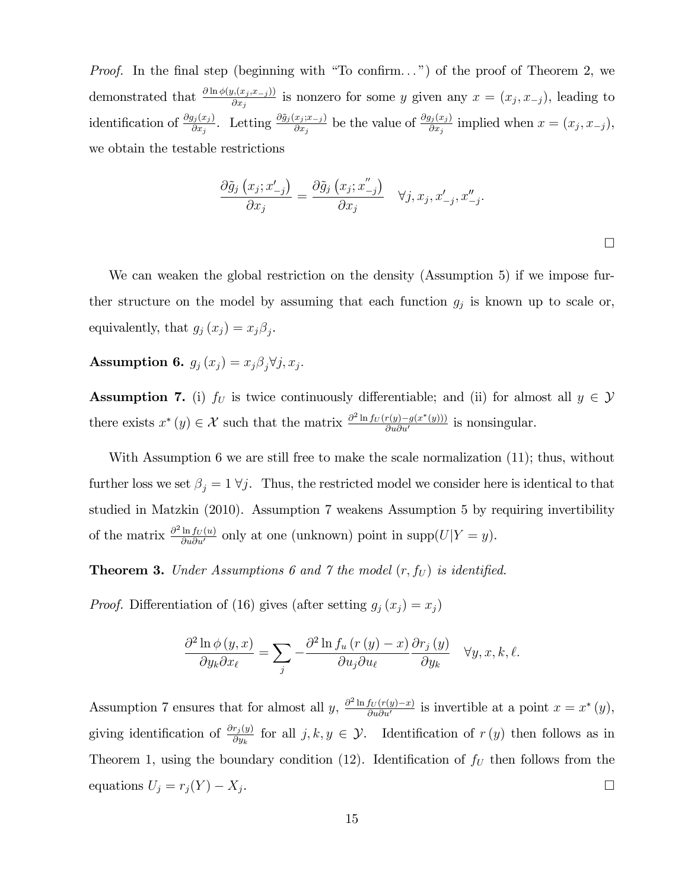*Proof.* In the final step (beginning with "To confirm...") of the proof of Theorem 2, we demonstrated that  $\frac{\partial \ln \phi(y,(x_j,x_{-j}))}{\partial x_j}$  is nonzero for some y given any  $x=(x_j,x_{-j})$ , leading to identification of  $\frac{\partial g_j(x_j)}{\partial x_j}$ . Letting  $\frac{\partial \tilde{g}_j(x_j; x_{-j})}{\partial x_j}$  be the value of  $\frac{\partial g_j(x_j)}{\partial x_j}$  implied when  $x = (x_j, x_{-j})$ , we obtain the testable restrictions

$$
\frac{\partial \tilde{g}_j(x_j; x'_{-j})}{\partial x_j} = \frac{\partial \tilde{g}_j(x_j; x''_{-j})}{\partial x_j} \quad \forall j, x_j, x'_{-j}, x''_{-j}.
$$

 $\Box$ 

We can weaken the global restriction on the density (Assumption 5) if we impose further structure on the model by assuming that each function  $g_j$  is known up to scale or, equivalently, that  $g_j(x_j) = x_j \beta_j$ .

Assumption 6.  $g_j(x_j) = x_j \beta_j \forall j, x_j$ .

**Assumption 7.** (i)  $f_U$  is twice continuously differentiable; and (ii) for almost all  $y \in \mathcal{Y}$ there exists  $x^*(y) \in \mathcal{X}$  such that the matrix  $\frac{\partial^2 \ln f_U(r(y) - g(x^*(y)))}{\partial u \partial u'}$  $\frac{f(y)-g(x'(y)))}{\partial u \partial u'}$  is nonsingular.

With Assumption 6 we are still free to make the scale normalization  $(11)$ ; thus, without further loss we set  $\beta_j = 1 \forall j$ . Thus, the restricted model we consider here is identical to that studied in Matzkin (2010). Assumption 7 weakens Assumption 5 by requiring invertibility of the matrix  $\frac{\partial^2 \ln f_U(u)}{\partial u \partial u'}$  only at one (unknown) point in supp $(U|Y = y)$ .

**Theorem 3.** Under Assumptions 6 and 7 the model  $(r, f_U)$  is identified.

*Proof.* Differentiation of (16) gives (after setting  $g_j(x_j) = x_j$ )

$$
\frac{\partial^2 \ln \phi(y, x)}{\partial y_k \partial x_\ell} = \sum_j -\frac{\partial^2 \ln f_u(r(y) - x)}{\partial u_j \partial u_\ell} \frac{\partial r_j(y)}{\partial y_k} \quad \forall y, x, k, \ell.
$$

Assumption 7 ensures that for almost all y,  $\frac{\partial^2 \ln f_U(r(y)-x)}{\partial u \partial u'}$  is invertible at a point  $x = x^*(y)$ , giving identification of  $\frac{\partial r_j(y)}{\partial y_k}$  for all  $j, k, y \in \mathcal{Y}$ . Identification of  $r(y)$  then follows as in Theorem 1, using the boundary condition (12). Identification of  $f_U$  then follows from the equations  $U_j = r_j(Y) - X_j$ . .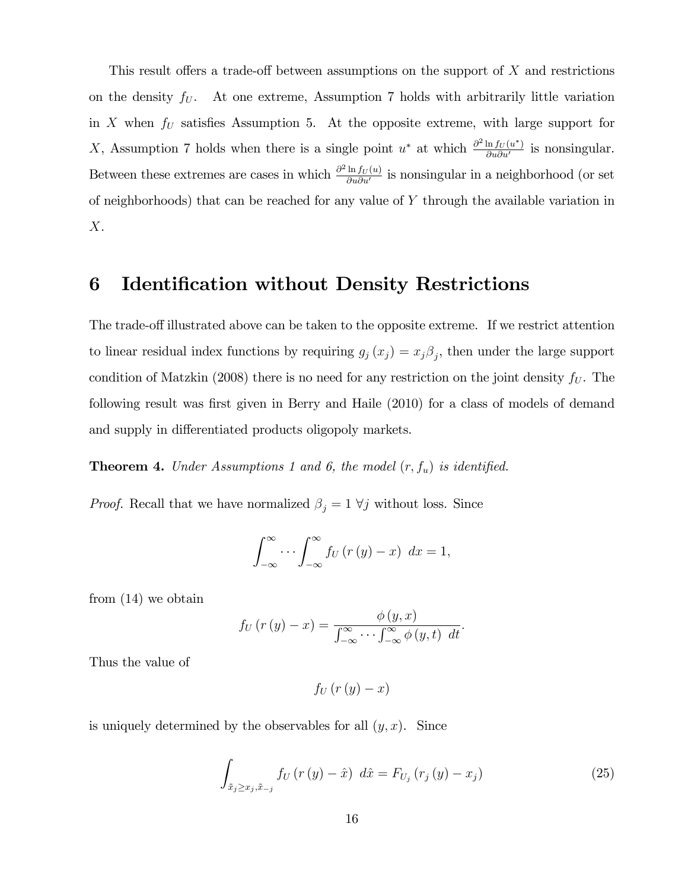This result offers a trade-off between assumptions on the support of  $X$  and restrictions on the density  $f_U$ . At one extreme, Assumption 7 holds with arbitrarily little variation in X when  $f_U$  satisfies Assumption 5. At the opposite extreme, with large support for X, Assumption 7 holds when there is a single point  $u^*$  at which  $\frac{\partial^2 \ln f_U(u^*)}{\partial u \partial u'}$  $\frac{\ln f_U(u)}{\partial u \partial u'}$  is nonsingular. Between these extremes are cases in which  $\frac{\partial^2 \ln f_U(u)}{\partial u \partial u'}$  $\frac{\ln I_U(u)}{\partial u \partial u'}$  is nonsingular in a neighborhood (or set of neighborhoods) that can be reached for any value of  $Y$  through the available variation in  $X$ .

## 6 Identification without Density Restrictions

The trade-off illustrated above can be taken to the opposite extreme. If we restrict attention to linear residual index functions by requiring  $g_j(x_j) = x_j \beta_j$ , then under the large support condition of Matzkin (2008) there is no need for any restriction on the joint density  $f_U$ . The following result was first given in Berry and Haile (2010) for a class of models of demand and supply in differentiated products oligopoly markets.

**Theorem 4.** Under Assumptions 1 and 6, the model  $(r, f_u)$  is identified.

*Proof.* Recall that we have normalized  $\beta_j = 1 \ \forall j$  without loss. Since

$$
\int_{-\infty}^{\infty} \cdots \int_{-\infty}^{\infty} f_U(r(y) - x) \ dx = 1,
$$

from (14) we obtain

$$
f_U(r(y)-x) = \frac{\phi(y,x)}{\int_{-\infty}^{\infty} \cdots \int_{-\infty}^{\infty} \phi(y,t) dt}.
$$

Thus the value of

$$
f_U\left(r\left(y\right)-x\right)
$$

is uniquely determined by the observables for all  $(y, x)$ . Since

$$
\int_{\tilde{x}_{j} \geq x_{j}, \tilde{x}_{-j}} f_{U} (r(y) - \hat{x}) d\hat{x} = F_{U_{j}} (r_{j}(y) - x_{j})
$$
\n(25)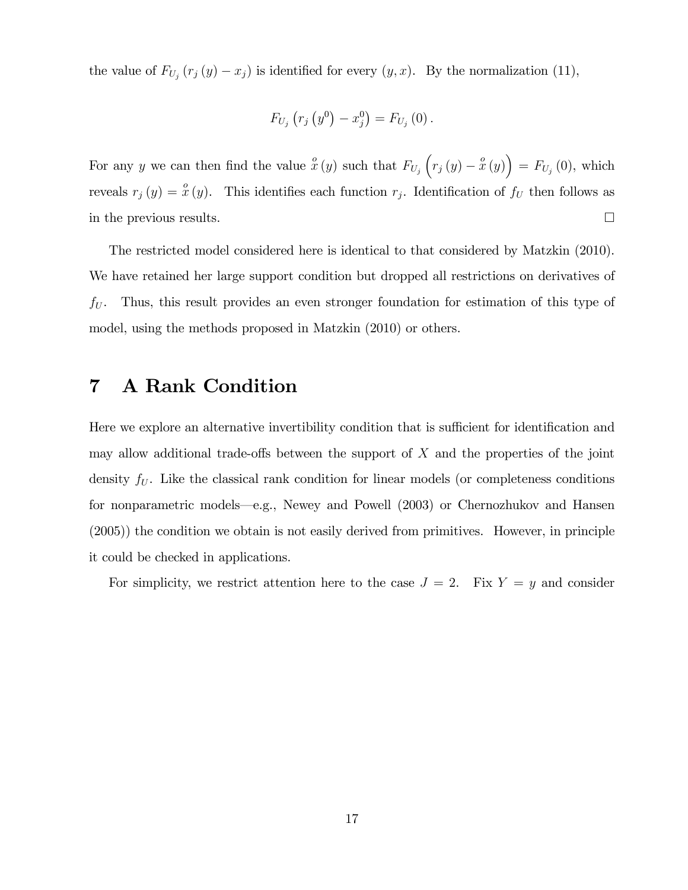the value of  $F_{U_j}(r_j(y)-x_j)$  is identified for every  $(y, x)$ . By the normalization (11),

$$
F_{U_j}\left(r_j\left(y^0\right) - x_j^0\right) = F_{U_j}\left(0\right).
$$

For any y we can then find the value  $\hat{x}(y)$  such that  $F_{U_j}\left(r_j(y) - \hat{x}(y)\right) = F_{U_j}(0)$ , which reveals  $r_j(y) = \overset{o}{x}(y)$ . This identifies each function  $r_j$ . Identification of  $f_U$  then follows as in the previous results.

The restricted model considered here is identical to that considered by Matzkin (2010). We have retained her large support condition but dropped all restrictions on derivatives of  $f_U$ . Thus, this result provides an even stronger foundation for estimation of this type of model, using the methods proposed in Matzkin (2010) or others.

# 7 A Rank Condition

Here we explore an alternative invertibility condition that is sufficient for identification and may allow additional trade-offs between the support of  $X$  and the properties of the joint density  $f_U$ . Like the classical rank condition for linear models (or completeness conditions for nonparametric models—e.g., Newey and Powell (2003) or Chernozhukov and Hansen (2005)) the condition we obtain is not easily derived from primitives. However, in principle it could be checked in applications.

For simplicity, we restrict attention here to the case  $J = 2$ . Fix  $Y = y$  and consider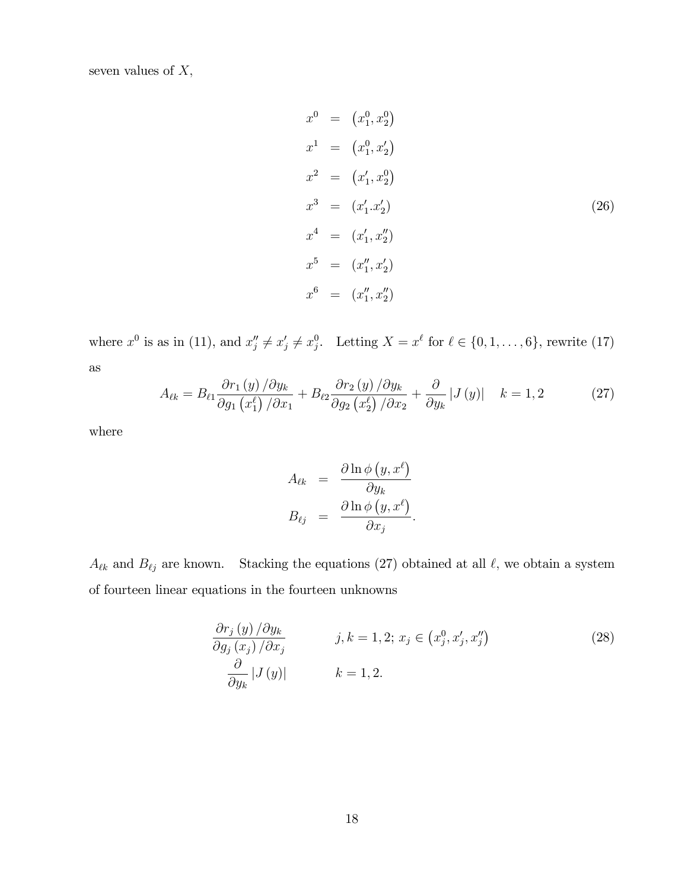seven values of  $X$ ,

$$
x^{0} = (x_{1}^{0}, x_{2}^{0})
$$
  
\n
$$
x^{1} = (x_{1}^{0}, x_{2}^{0})
$$
  
\n
$$
x^{2} = (x_{1}', x_{2}^{0})
$$
  
\n
$$
x^{3} = (x_{1}', x_{2}^{0})
$$
  
\n
$$
x^{4} = (x_{1}', x_{2}^{0})
$$
  
\n
$$
x^{5} = (x_{1}'', x_{2}')
$$
  
\n
$$
x^{6} = (x_{1}'', x_{2}')
$$
  
\n(26)

where  $x^0$  is as in (11), and  $x''_j \neq x'_j \neq x^0_j$ . Letting  $X = x^\ell$  for  $\ell \in \{0, 1, \ldots, 6\}$ , rewrite (17) as

$$
A_{\ell k} = B_{\ell 1} \frac{\partial r_1(y)}{\partial g_1(x_1^{\ell})/\partial x_1} + B_{\ell 2} \frac{\partial r_2(y)}{\partial g_2(x_2^{\ell})/\partial x_2} + \frac{\partial}{\partial y_k} |J(y)| \quad k = 1, 2 \tag{27}
$$

where

$$
A_{\ell k} = \frac{\partial \ln \phi (y, x^{\ell})}{\partial y_{k}}
$$

$$
B_{\ell j} = \frac{\partial \ln \phi (y, x^{\ell})}{\partial x_{j}}.
$$

 $A_{\ell k}$  and  $B_{\ell j}$  are known. Stacking the equations (27) obtained at all  $\ell$ , we obtain a system of fourteen linear equations in the fourteen unknowns

$$
\frac{\partial r_j(y)}{\partial g_j(x_j)/\partial x_j} \qquad j, k = 1, 2; x_j \in (x_j^0, x_j', x_j'')
$$
\n
$$
\frac{\partial}{\partial y_k} |J(y)| \qquad k = 1, 2.
$$
\n(28)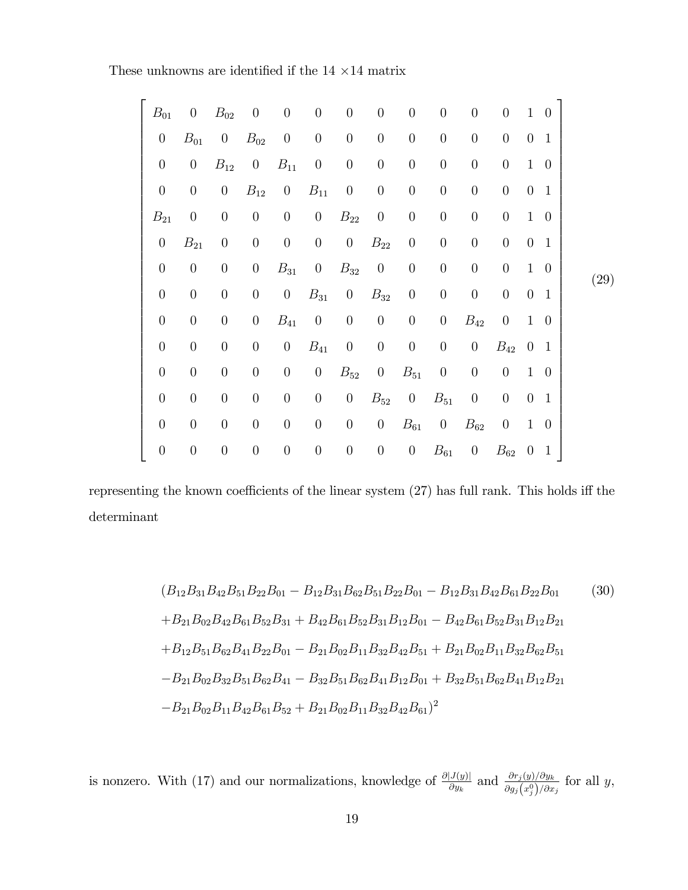These unknowns are identified if the  $14 \times 14$  matrix

| $B_{01}$         | $\overline{0}$   | $B_{02}$           | $\boldsymbol{0}$ | $\boldsymbol{0}$ | $\boldsymbol{0}$ | $\boldsymbol{0}$ | $\theta$         | $\boldsymbol{0}$ | $\boldsymbol{0}$ | $\theta$         | $\boldsymbol{0}$ | $\mathbf{1}$     | $\theta$       |      |
|------------------|------------------|--------------------|------------------|------------------|------------------|------------------|------------------|------------------|------------------|------------------|------------------|------------------|----------------|------|
| $\boldsymbol{0}$ | $B_{01}$         | $\overline{0}$     | $B_{02}$         | $\boldsymbol{0}$ | $\boldsymbol{0}$ | $\boldsymbol{0}$ | $\theta$         | $\boldsymbol{0}$ | $\boldsymbol{0}$ | $\boldsymbol{0}$ | $\theta$         | $\boldsymbol{0}$ | $\mathbf{1}$   |      |
| $\boldsymbol{0}$ | $\overline{0}$   | $\mathcal{B}_{12}$ | $\overline{0}$   | $B_{11}$         | $\boldsymbol{0}$ | $\boldsymbol{0}$ | $\boldsymbol{0}$ | $\boldsymbol{0}$ | $\boldsymbol{0}$ | $\boldsymbol{0}$ | $\boldsymbol{0}$ | $\mathbf{1}$     | $\overline{0}$ |      |
| $\boldsymbol{0}$ | $\boldsymbol{0}$ | $\boldsymbol{0}$   | $B_{12}$         | $\boldsymbol{0}$ | $B_{11}$         | $\boldsymbol{0}$ | $\theta$         | $\boldsymbol{0}$ | $\boldsymbol{0}$ | $\boldsymbol{0}$ | $\boldsymbol{0}$ | $\overline{0}$   | $\mathbf{1}$   |      |
| $B_{21}$         | $\theta$         | $\boldsymbol{0}$   | $\boldsymbol{0}$ | $\boldsymbol{0}$ | $\overline{0}$   | $B_{22}$         | $\theta$         | $\boldsymbol{0}$ | $\boldsymbol{0}$ | $\boldsymbol{0}$ | $\boldsymbol{0}$ | $\mathbf{1}$     | $\overline{0}$ |      |
| $\boldsymbol{0}$ | $B_{21}$         | $\theta$           | $\boldsymbol{0}$ | $\boldsymbol{0}$ | $\boldsymbol{0}$ | $\overline{0}$   | $B_{22}$         | $\boldsymbol{0}$ | $\boldsymbol{0}$ | $\boldsymbol{0}$ | $\theta$         | $\theta$         | $\mathbf{1}$   |      |
| $\boldsymbol{0}$ | $\boldsymbol{0}$ | $\boldsymbol{0}$   | $\boldsymbol{0}$ | $B_{31}$         | $\boldsymbol{0}$ | $B_{32}$         | $\boldsymbol{0}$ | $\boldsymbol{0}$ | $\boldsymbol{0}$ | $\boldsymbol{0}$ | $\boldsymbol{0}$ | $\mathbf{1}$     | $\theta$       | (29) |
| $\boldsymbol{0}$ | $\boldsymbol{0}$ | $\boldsymbol{0}$   | $\boldsymbol{0}$ | $\boldsymbol{0}$ | $B_{31}$         | $\overline{0}$   | $B_{32}$         | $\boldsymbol{0}$ | $\boldsymbol{0}$ | $\boldsymbol{0}$ | $\boldsymbol{0}$ | $\boldsymbol{0}$ | $\mathbf{1}$   |      |
| $\boldsymbol{0}$ | $\boldsymbol{0}$ | $\boldsymbol{0}$   | $\boldsymbol{0}$ | $B_{41}$         | $\boldsymbol{0}$ | $\boldsymbol{0}$ | $\boldsymbol{0}$ | $\boldsymbol{0}$ | $\boldsymbol{0}$ | $B_{42}$         | $\boldsymbol{0}$ | $\mathbf{1}$     | $\overline{0}$ |      |
| $\boldsymbol{0}$ | $\boldsymbol{0}$ | $\boldsymbol{0}$   | $\boldsymbol{0}$ | $\boldsymbol{0}$ | $B_{41}$         | $\boldsymbol{0}$ | $\boldsymbol{0}$ | $\boldsymbol{0}$ | $\boldsymbol{0}$ | $\boldsymbol{0}$ | $B_{42}$         | $\theta$         | $\mathbf{1}$   |      |
| $\boldsymbol{0}$ | $\boldsymbol{0}$ | $\boldsymbol{0}$   | $\boldsymbol{0}$ | $\boldsymbol{0}$ | $\theta$         | $B_{52}$         | $\theta$         | $B_{51}$         | $\theta$         | $\boldsymbol{0}$ | $\theta$         | $\mathbf{1}$     | $\overline{0}$ |      |
| $\boldsymbol{0}$ | $\boldsymbol{0}$ | $\boldsymbol{0}$   | $\boldsymbol{0}$ | $\boldsymbol{0}$ | $\boldsymbol{0}$ | $\boldsymbol{0}$ | $B_{52}$         | $\boldsymbol{0}$ | $B_{51}$         | $\theta$         | $\boldsymbol{0}$ | $\theta$         | $\mathbf{1}$   |      |
| $\boldsymbol{0}$ | $\theta$         | $\boldsymbol{0}$   | $\boldsymbol{0}$ | $\boldsymbol{0}$ | $\boldsymbol{0}$ | $\boldsymbol{0}$ | $\boldsymbol{0}$ | $B_{61}$         | $\boldsymbol{0}$ | $B_{62}$         | $\theta$         | $\mathbf{1}$     | $\overline{0}$ |      |
| $\boldsymbol{0}$ | $\boldsymbol{0}$ | $\boldsymbol{0}$   | $\boldsymbol{0}$ | $\boldsymbol{0}$ | $\boldsymbol{0}$ | $\boldsymbol{0}$ | $\boldsymbol{0}$ | $\boldsymbol{0}$ | $B_{61}$         | $\overline{0}$   | $B_{62}$         | $\overline{0}$   | $\mathbf{1}$   |      |
|                  |                  |                    |                  |                  |                  |                  |                  |                  |                  |                  |                  |                  |                |      |

representing the known coefficients of the linear system  $(27)$  has full rank. This holds iff the determinant

$$
(B_{12}B_{31}B_{42}B_{51}B_{22}B_{01} - B_{12}B_{31}B_{62}B_{51}B_{22}B_{01} - B_{12}B_{31}B_{42}B_{61}B_{22}B_{01}
$$
(30)  
+ $B_{21}B_{02}B_{42}B_{61}B_{52}B_{31} + B_{42}B_{61}B_{52}B_{31}B_{12}B_{01} - B_{42}B_{61}B_{52}B_{31}B_{12}B_{21}$   
+ $B_{12}B_{51}B_{62}B_{41}B_{22}B_{01} - B_{21}B_{02}B_{11}B_{32}B_{42}B_{51} + B_{21}B_{02}B_{11}B_{32}B_{62}B_{51}$   
- $B_{21}B_{02}B_{32}B_{51}B_{62}B_{41} - B_{32}B_{51}B_{62}B_{41}B_{12}B_{01} + B_{32}B_{51}B_{62}B_{41}B_{12}B_{21}$   
- $B_{21}B_{02}B_{11}B_{42}B_{61}B_{52} + B_{21}B_{02}B_{11}B_{32}B_{42}B_{61})^2$ 

is nonzero. With (17) and our normalizations, knowledge of  $\frac{\partial |J(y)|}{\partial y_k}$  and  $\frac{\partial r_j(y)/\partial y_k}{\partial g_j(x_j^0)/\partial x_j}$  for all y,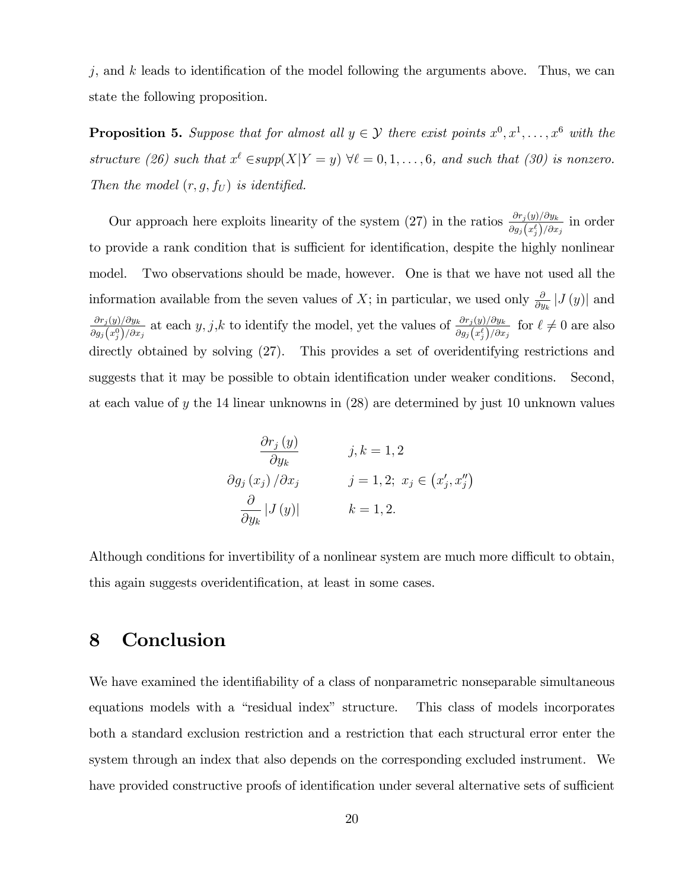$j$ , and k leads to identification of the model following the arguments above. Thus, we can state the following proposition.

**Proposition 5.** Suppose that for almost all  $y \in \mathcal{Y}$  there exist points  $x^0, x^1, \ldots, x^6$  with the structure (26) such that  $x^{\ell} \in supp(X|Y=y)$   $\forall \ell = 0, 1, ..., 6$ , and such that (30) is nonzero. Then the model  $(r, g, f_U)$  is identified.

Our approach here exploits linearity of the system (27) in the ratios  $\frac{\partial r_j(y)/\partial y_k}{\partial g_j(x_j^{\ell})/\partial x_j}$  in order to provide a rank condition that is sufficient for identification, despite the highly nonlinear model. Two observations should be made, however. One is that we have not used all the information available from the seven values of X; in particular, we used only  $\frac{\partial}{\partial y_k} |J(y)|$  and  $\partial r_j(y)/\partial y_k$  $\frac{\partial r_j(y)/\partial y_k}{\partial g_j(x_j^0)/\partial x_j}$  at each  $y, j, k$  to identify the model, yet the values of  $\frac{\partial r_j(y)/\partial y_k}{\partial g_j(x_j^{\ell})/\partial x_j}$  for  $\ell \neq 0$  are also directly obtained by solving (27). This provides a set of overidentifying restrictions and suggests that it may be possible to obtain identification under weaker conditions. Second, at each value of y the 14 linear unknowns in (28) are determined by just 10 unknown values

$$
\frac{\partial r_j(y)}{\partial y_k} \qquad j, k = 1, 2
$$
  

$$
\frac{\partial g_j(x_j)}{\partial x_j} \qquad j = 1, 2; x_j \in (x'_j, x''_j)
$$
  

$$
\frac{\partial}{\partial y_k} |J(y)| \qquad k = 1, 2.
$$

Although conditions for invertibility of a nonlinear system are much more difficult to obtain, this again suggests overidentification, at least in some cases.

# 8 Conclusion

We have examined the identifiability of a class of nonparametric nonseparable simultaneous equations models with a "residual index" structure. This class of models incorporates both a standard exclusion restriction and a restriction that each structural error enter the system through an index that also depends on the corresponding excluded instrument. We have provided constructive proofs of identification under several alternative sets of sufficient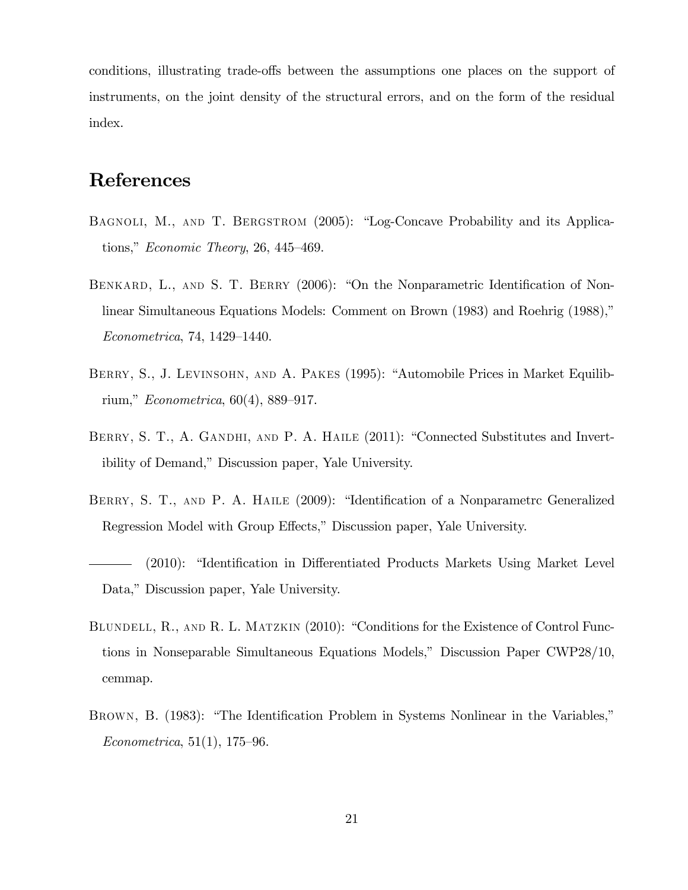conditions, illustrating trade-offs between the assumptions one places on the support of instruments, on the joint density of the structural errors, and on the form of the residual index.

# References

- BAGNOLI, M., AND T. BERGSTROM (2005): "Log-Concave Probability and its Applications," Economic Theory, 26, 445–469.
- BENKARD, L., AND S. T. BERRY (2006): "On the Nonparametric Identification of Nonlinear Simultaneous Equations Models: Comment on Brown (1983) and Roehrig (1988),"  $Econometrica, 74, 1429–1440.$
- BERRY, S., J. LEVINSOHN, AND A. PAKES (1995): "Automobile Prices in Market Equilibrium,"  $Econometrica, 60(4), 889-917.$
- BERRY, S. T., A. GANDHI, AND P. A. HAILE (2011): "Connected Substitutes and Invertibility of Demand," Discussion paper, Yale University.
- BERRY, S. T., AND P. A. HAILE (2009): "Identification of a Nonparametrc Generalized Regression Model with Group Effects," Discussion paper, Yale University.
- $(2010):$  "Identification in Differentiated Products Markets Using Market Level Data," Discussion paper, Yale University.
- BLUNDELL, R., AND R. L. MATZKIN (2010): "Conditions for the Existence of Control Functions in Nonseparable Simultaneous Equations Models," Discussion Paper CWP28/10, cemmap.
- BROWN, B. (1983): "The Identification Problem in Systems Nonlinear in the Variables,"  $Econometrica, 51(1), 175-96.$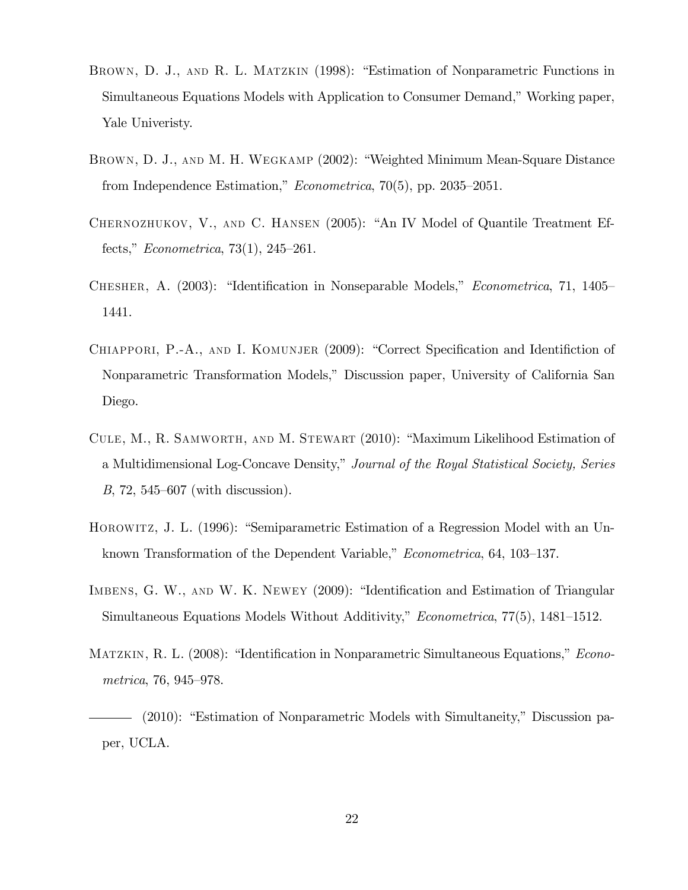- BROWN, D. J., AND R. L. MATZKIN (1998): "Estimation of Nonparametric Functions in Simultaneous Equations Models with Application to Consumer Demand," Working paper, Yale Univeristy.
- BROWN, D. J., AND M. H. WEGKAMP (2002): "Weighted Minimum Mean-Square Distance from Independence Estimation,"  $Econometrica$ , 70(5), pp. 2035–2051.
- CHERNOZHUKOV, V., AND C. HANSEN (2005): "An IV Model of Quantile Treatment Effects," *Econometrica*, 73(1), 245–261.
- CHESHER, A. (2003): "Identification in Nonseparable Models," *Econometrica*, 71, 1405 1441.
- CHIAPPORI, P.-A., AND I. KOMUNJER (2009): "Correct Specification and Identifiction of Nonparametric Transformation Models,î Discussion paper, University of California San Diego.
- CULE, M., R. SAMWORTH, AND M. STEWART (2010): "Maximum Likelihood Estimation of a Multidimensional Log-Concave Density," Journal of the Royal Statistical Society, Series  $B$ , 72, 545–607 (with discussion).
- HOROWITZ, J. L. (1996): "Semiparametric Estimation of a Regression Model with an Unknown Transformation of the Dependent Variable," *Econometrica*, 64, 103–137.
- IMBENS, G. W., AND W. K. NEWEY (2009): "Identification and Estimation of Triangular Simultaneous Equations Models Without Additivity," *Econometrica*,  $77(5)$ ,  $1481-1512$ .
- MATZKIN, R. L. (2008): "Identification in Nonparametric Simultaneous Equations," *Econo*metrica, 76, 945–978.

<sup>- (2010): &</sup>quot;Estimation of Nonparametric Models with Simultaneity," Discussion paper, UCLA.